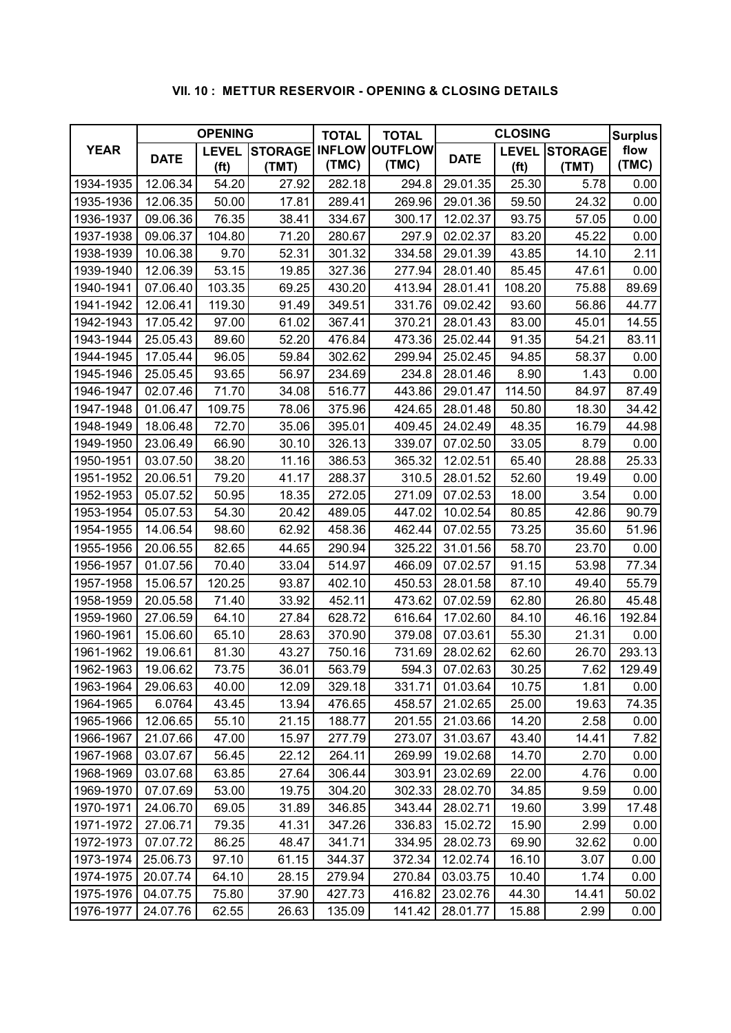## **VII. 10 : METTUR RESERVOIR - OPENING & CLOSING DETAILS**

| <b>YEAR</b> | <b>OPENING</b> |                                |       | <b>TOTAL</b><br><b>TOTAL</b> |                       | <b>CLOSING</b> |                      |       | <b>Surplus</b> |
|-------------|----------------|--------------------------------|-------|------------------------------|-----------------------|----------------|----------------------|-------|----------------|
|             | <b>DATE</b>    | <b>STORAGE</b><br><b>LEVEL</b> |       |                              | <b>INFLOW OUTFLOW</b> | <b>DATE</b>    | <b>LEVEL STORAGE</b> |       | flow           |
|             |                | (f <sup>t</sup> )              | (TMT) | (TMC)                        | (TMC)                 |                | (f <sup>t</sup> )    | (TMT) | (TMC)          |
| 1934-1935   | 12.06.34       | 54.20                          | 27.92 | 282.18                       | 294.8                 | 29.01.35       | 25.30                | 5.78  | 0.00           |
| 1935-1936   | 12.06.35       | 50.00                          | 17.81 | 289.41                       | 269.96                | 29.01.36       | 59.50                | 24.32 | 0.00           |
| 1936-1937   | 09.06.36       | 76.35                          | 38.41 | 334.67                       | 300.17                | 12.02.37       | 93.75                | 57.05 | 0.00           |
| 1937-1938   | 09.06.37       | 104.80                         | 71.20 | 280.67                       | 297.9                 | 02.02.37       | 83.20                | 45.22 | 0.00           |
| 1938-1939   | 10.06.38       | 9.70                           | 52.31 | 301.32                       | 334.58                | 29.01.39       | 43.85                | 14.10 | 2.11           |
| 1939-1940   | 12.06.39       | 53.15                          | 19.85 | 327.36                       | 277.94                | 28.01.40       | 85.45                | 47.61 | 0.00           |
| 1940-1941   | 07.06.40       | 103.35                         | 69.25 | 430.20                       | 413.94                | 28.01.41       | 108.20               | 75.88 | 89.69          |
| 1941-1942   | 12.06.41       | 119.30                         | 91.49 | 349.51                       | 331.76                | 09.02.42       | 93.60                | 56.86 | 44.77          |
| 1942-1943   | 17.05.42       | 97.00                          | 61.02 | 367.41                       | 370.21                | 28.01.43       | 83.00                | 45.01 | 14.55          |
| 1943-1944   | 25.05.43       | 89.60                          | 52.20 | 476.84                       | 473.36                | 25.02.44       | 91.35                | 54.21 | 83.11          |
| 1944-1945   | 17.05.44       | 96.05                          | 59.84 | 302.62                       | 299.94                | 25.02.45       | 94.85                | 58.37 | 0.00           |
| 1945-1946   | 25.05.45       | 93.65                          | 56.97 | 234.69                       | 234.8                 | 28.01.46       | 8.90                 | 1.43  | 0.00           |
| 1946-1947   | 02.07.46       | 71.70                          | 34.08 | 516.77                       | 443.86                | 29.01.47       | 114.50               | 84.97 | 87.49          |
| 1947-1948   | 01.06.47       | 109.75                         | 78.06 | 375.96                       | 424.65                | 28.01.48       | 50.80                | 18.30 | 34.42          |
| 1948-1949   | 18.06.48       | 72.70                          | 35.06 | 395.01                       | 409.45                | 24.02.49       | 48.35                | 16.79 | 44.98          |
| 1949-1950   | 23.06.49       | 66.90                          | 30.10 | 326.13                       | 339.07                | 07.02.50       | 33.05                | 8.79  | 0.00           |
| 1950-1951   | 03.07.50       | 38.20                          | 11.16 | 386.53                       | 365.32                | 12.02.51       | 65.40                | 28.88 | 25.33          |
| 1951-1952   | 20.06.51       | 79.20                          | 41.17 | 288.37                       | 310.5                 | 28.01.52       | 52.60                | 19.49 | 0.00           |
| 1952-1953   | 05.07.52       | 50.95                          | 18.35 | 272.05                       | 271.09                | 07.02.53       | 18.00                | 3.54  | 0.00           |
| 1953-1954   | 05.07.53       | 54.30                          | 20.42 | 489.05                       | 447.02                | 10.02.54       | 80.85                | 42.86 | 90.79          |
| 1954-1955   | 14.06.54       | 98.60                          | 62.92 | 458.36                       | 462.44                | 07.02.55       | 73.25                | 35.60 | 51.96          |
| 1955-1956   | 20.06.55       | 82.65                          | 44.65 | 290.94                       | 325.22                | 31.01.56       | 58.70                | 23.70 | 0.00           |
| 1956-1957   | 01.07.56       | 70.40                          | 33.04 | 514.97                       | 466.09                | 07.02.57       | 91.15                | 53.98 | 77.34          |
| 1957-1958   | 15.06.57       | 120.25                         | 93.87 | 402.10                       | 450.53                | 28.01.58       | 87.10                | 49.40 | 55.79          |
| 1958-1959   | 20.05.58       | 71.40                          | 33.92 | 452.11                       | 473.62                | 07.02.59       | 62.80                | 26.80 | 45.48          |
| 1959-1960   | 27.06.59       | 64.10                          | 27.84 | 628.72                       | 616.64                | 17.02.60       | 84.10                | 46.16 | 192.84         |
| 1960-1961   | 15.06.60       | 65.10                          | 28.63 | 370.90                       | 379.08                | 07.03.61       | 55.30                | 21.31 | 0.00           |
| 1961-1962   | 19.06.61       | 81.30                          | 43.27 | 750.16                       | 731.69                | 28.02.62       | 62.60                | 26.70 | 293.13         |
| 1962-1963   | 19.06.62       | 73.75                          | 36.01 | 563.79                       | 594.3                 | 07.02.63       | 30.25                | 7.62  | 129.49         |
| 1963-1964   | 29.06.63       | 40.00                          | 12.09 | 329.18                       | 331.71                | 01.03.64       | 10.75                | 1.81  | 0.00           |
| 1964-1965   | 6.0764         | 43.45                          | 13.94 | 476.65                       | 458.57                | 21.02.65       | 25.00                | 19.63 | 74.35          |
| 1965-1966   | 12.06.65       | 55.10                          | 21.15 | 188.77                       | 201.55                | 21.03.66       | 14.20                | 2.58  | 0.00           |
| 1966-1967   | 21.07.66       | 47.00                          | 15.97 | 277.79                       | 273.07                | 31.03.67       | 43.40                | 14.41 | 7.82           |
| 1967-1968   | 03.07.67       | 56.45                          | 22.12 | 264.11                       | 269.99                | 19.02.68       | 14.70                | 2.70  | 0.00           |
| 1968-1969   | 03.07.68       | 63.85                          | 27.64 | 306.44                       | 303.91                | 23.02.69       | 22.00                | 4.76  | 0.00           |
| 1969-1970   | 07.07.69       | 53.00                          | 19.75 | 304.20                       | 302.33                | 28.02.70       | 34.85                | 9.59  | 0.00           |
| 1970-1971   | 24.06.70       | 69.05                          | 31.89 | 346.85                       | 343.44                | 28.02.71       | 19.60                | 3.99  | 17.48          |
| 1971-1972   | 27.06.71       | 79.35                          | 41.31 | 347.26                       | 336.83                | 15.02.72       | 15.90                | 2.99  | 0.00           |
| 1972-1973   | 07.07.72       | 86.25                          | 48.47 | 341.71                       | 334.95                | 28.02.73       | 69.90                | 32.62 | 0.00           |
| 1973-1974   | 25.06.73       | 97.10                          | 61.15 | 344.37                       | 372.34                | 12.02.74       | 16.10                | 3.07  | 0.00           |
| 1974-1975   | 20.07.74       | 64.10                          | 28.15 | 279.94                       | 270.84                | 03.03.75       | 10.40                | 1.74  | 0.00           |
| 1975-1976   | 04.07.75       | 75.80                          | 37.90 | 427.73                       | 416.82                | 23.02.76       | 44.30                | 14.41 | 50.02          |
| 1976-1977   | 24.07.76       | 62.55                          | 26.63 | 135.09                       | 141.42                | 28.01.77       | 15.88                | 2.99  | 0.00           |